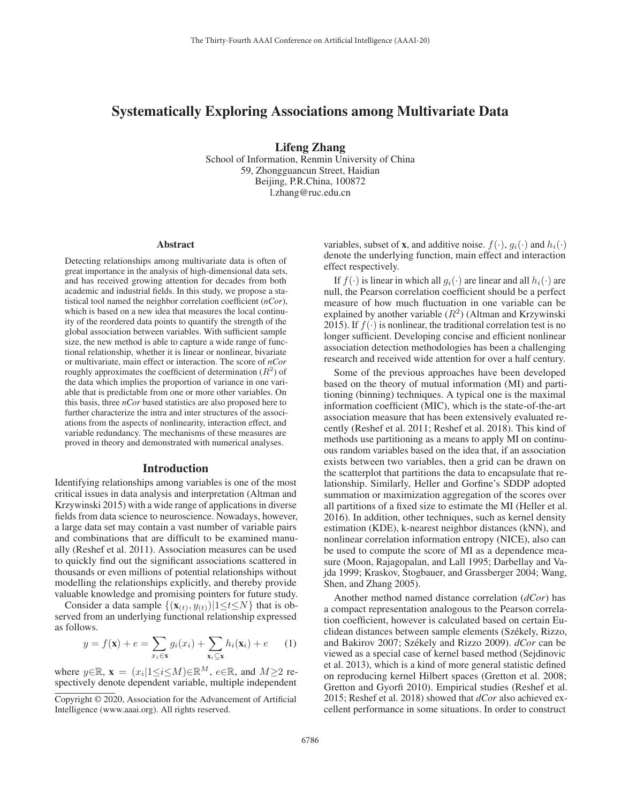# Systematically Exploring Associations among Multivariate Data

Lifeng Zhang

School of Information, Renmin University of China 59, Zhongguancun Street, Haidian Beijing, P.R.China, 100872 l.zhang@ruc.edu.cn

#### Abstract

Detecting relationships among multivariate data is often of great importance in the analysis of high-dimensional data sets, and has received growing attention for decades from both academic and industrial fields. In this study, we propose a statistical tool named the neighbor correlation coefficient (*nCor*), which is based on a new idea that measures the local continuity of the reordered data points to quantify the strength of the global association between variables. With sufficient sample size, the new method is able to capture a wide range of functional relationship, whether it is linear or nonlinear, bivariate or multivariate, main effect or interaction. The score of *nCor* roughly approximates the coefficient of determination  $(R^2)$  of the data which implies the proportion of variance in one variable that is predictable from one or more other variables. On this basis, three *nCor* based statistics are also proposed here to further characterize the intra and inter structures of the associations from the aspects of nonlinearity, interaction effect, and variable redundancy. The mechanisms of these measures are proved in theory and demonstrated with numerical analyses.

#### Introduction

Identifying relationships among variables is one of the most critical issues in data analysis and interpretation (Altman and Krzywinski 2015) with a wide range of applications in diverse fields from data science to neuroscience. Nowadays, however, a large data set may contain a vast number of variable pairs and combinations that are difficult to be examined manually (Reshef et al. 2011). Association measures can be used to quickly find out the significant associations scattered in thousands or even millions of potential relationships without modelling the relationships explicitly, and thereby provide valuable knowledge and promising pointers for future study.

Consider a data sample  $\{(\mathbf{x}_{(t)}, y_{(t)}) | 1 \le t \le N\}$  that is observed from an underlying functional relationship expressed as follows.

$$
y = f(\mathbf{x}) + e = \sum_{x_i \in \mathbf{x}} g_i(x_i) + \sum_{\mathbf{x}_i \subseteq \mathbf{x}} h_i(\mathbf{x}_i) + e \qquad (1)
$$

where  $y \in \mathbb{R}$ ,  $\mathbf{x} = (x_i | 1 \leq i \leq M) \in \mathbb{R}^M$ ,  $e \in \mathbb{R}$ , and  $M \geq 2$  respectively denote dependent variable, multiple independent

variables, subset of **x**, and additive noise.  $f(\cdot)$ ,  $g_i(\cdot)$  and  $h_i(\cdot)$ denote the underlying function, main effect and interaction effect respectively.

If  $f(\cdot)$  is linear in which all  $q_i(\cdot)$  are linear and all  $h_i(\cdot)$  are null, the Pearson correlation coefficient should be a perfect measure of how much fluctuation in one variable can be explained by another variable  $(R^2)$  (Altman and Krzywinski 2015). If  $f(\cdot)$  is nonlinear, the traditional correlation test is no longer sufficient. Developing concise and efficient nonlinear association detection methodologies has been a challenging research and received wide attention for over a half century.

Some of the previous approaches have been developed based on the theory of mutual information (MI) and partitioning (binning) techniques. A typical one is the maximal information coefficient (MIC), which is the state-of-the-art association measure that has been extensively evaluated recently (Reshef et al. 2011; Reshef et al. 2018). This kind of methods use partitioning as a means to apply MI on continuous random variables based on the idea that, if an association exists between two variables, then a grid can be drawn on the scatterplot that partitions the data to encapsulate that relationship. Similarly, Heller and Gorfine's SDDP adopted summation or maximization aggregation of the scores over all partitions of a fixed size to estimate the MI (Heller et al. 2016). In addition, other techniques, such as kernel density estimation (KDE), k-nearest neighbor distances (kNN), and nonlinear correlation information entropy (NICE), also can be used to compute the score of MI as a dependence measure (Moon, Rajagopalan, and Lall 1995; Darbellay and Vajda 1999; Kraskov, Stogbauer, and Grassberger 2004; Wang, Shen, and Zhang 2005).

Another method named distance correlation (*dCor*) has a compact representation analogous to the Pearson correlation coefficient, however is calculated based on certain Euclidean distances between sample elements (Székely, Rizzo, and Bakirov 2007; Székely and Rizzo 2009).  $dCor$  can be viewed as a special case of kernel based method (Sejdinovic et al. 2013), which is a kind of more general statistic defined on reproducing kernel Hilbert spaces (Gretton et al. 2008; Gretton and Gyorfi 2010). Empirical studies (Reshef et al. 2015; Reshef et al. 2018) showed that *dCor* also achieved excellent performance in some situations. In order to construct

Copyright © 2020, Association for the Advancement of Artificial Intelligence (www.aaai.org). All rights reserved.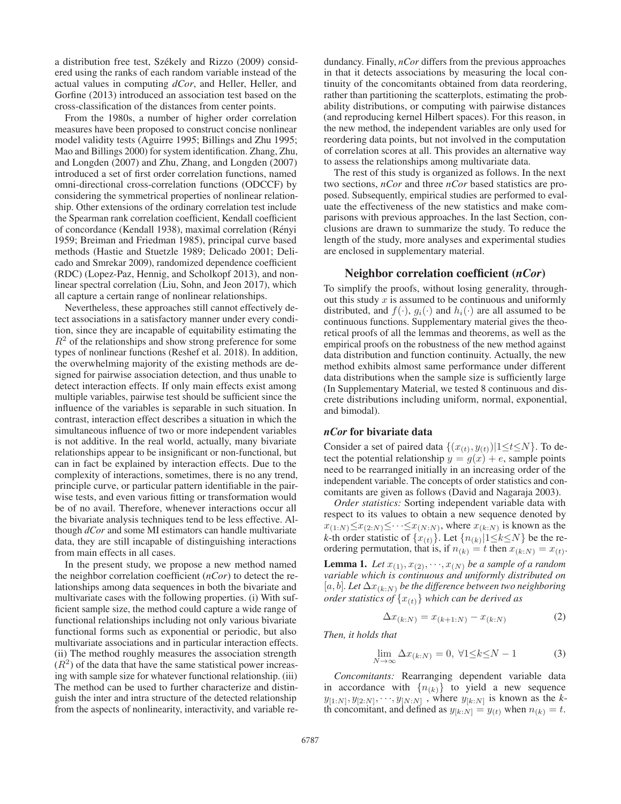a distribution free test, Székely and Rizzo (2009) considered using the ranks of each random variable instead of the actual values in computing *dCor*, and Heller, Heller, and Gorfine (2013) introduced an association test based on the cross-classification of the distances from center points.

From the 1980s, a number of higher order correlation measures have been proposed to construct concise nonlinear model validity tests (Aguirre 1995; Billings and Zhu 1995; Mao and Billings 2000) for system identification. Zhang, Zhu, and Longden (2007) and Zhu, Zhang, and Longden (2007) introduced a set of first order correlation functions, named omni-directional cross-correlation functions (ODCCF) by considering the symmetrical properties of nonlinear relationship. Other extensions of the ordinary correlation test include the Spearman rank correlation coefficient, Kendall coefficient of concordance (Kendall 1938), maximal correlation (Renyi ´ 1959; Breiman and Friedman 1985), principal curve based methods (Hastie and Stuetzle 1989; Delicado 2001; Delicado and Smrekar 2009), randomized dependence coefficient (RDC) (Lopez-Paz, Hennig, and Scholkopf 2013), and nonlinear spectral correlation (Liu, Sohn, and Jeon 2017), which all capture a certain range of nonlinear relationships.

Nevertheless, these approaches still cannot effectively detect associations in a satisfactory manner under every condition, since they are incapable of equitability estimating the  $R<sup>2</sup>$  of the relationships and show strong preference for some types of nonlinear functions (Reshef et al. 2018). In addition, the overwhelming majority of the existing methods are designed for pairwise association detection, and thus unable to detect interaction effects. If only main effects exist among multiple variables, pairwise test should be sufficient since the influence of the variables is separable in such situation. In contrast, interaction effect describes a situation in which the simultaneous influence of two or more independent variables is not additive. In the real world, actually, many bivariate relationships appear to be insignificant or non-functional, but can in fact be explained by interaction effects. Due to the complexity of interactions, sometimes, there is no any trend, principle curve, or particular pattern identifiable in the pairwise tests, and even various fitting or transformation would be of no avail. Therefore, whenever interactions occur all the bivariate analysis techniques tend to be less effective. Although *dCor* and some MI estimators can handle multivariate data, they are still incapable of distinguishing interactions from main effects in all cases.

In the present study, we propose a new method named the neighbor correlation coefficient (*nCor*) to detect the relationships among data sequences in both the bivariate and multivariate cases with the following properties. (i) With sufficient sample size, the method could capture a wide range of functional relationships including not only various bivariate functional forms such as exponential or periodic, but also multivariate associations and in particular interaction effects. (ii) The method roughly measures the association strength  $(R<sup>2</sup>)$  of the data that have the same statistical power increasing with sample size for whatever functional relationship. (iii) The method can be used to further characterize and distinguish the inter and intra structure of the detected relationship from the aspects of nonlinearity, interactivity, and variable redundancy. Finally, *nCor* differs from the previous approaches in that it detects associations by measuring the local continuity of the concomitants obtained from data reordering, rather than partitioning the scatterplots, estimating the probability distributions, or computing with pairwise distances (and reproducing kernel Hilbert spaces). For this reason, in the new method, the independent variables are only used for reordering data points, but not involved in the computation of correlation scores at all. This provides an alternative way to assess the relationships among multivariate data.

The rest of this study is organized as follows. In the next two sections, *nCor* and three *nCor* based statistics are proposed. Subsequently, empirical studies are performed to evaluate the effectiveness of the new statistics and make comparisons with previous approaches. In the last Section, conclusions are drawn to summarize the study. To reduce the length of the study, more analyses and experimental studies are enclosed in supplementary material.

# Neighbor correlation coefficient (*nCor*)

To simplify the proofs, without losing generality, throughout this study  $x$  is assumed to be continuous and uniformly distributed, and  $f(\cdot)$ ,  $g_i(\cdot)$  and  $h_i(\cdot)$  are all assumed to be continuous functions. Supplementary material gives the theoretical proofs of all the lemmas and theorems, as well as the empirical proofs on the robustness of the new method against data distribution and function continuity. Actually, the new method exhibits almost same performance under different data distributions when the sample size is sufficiently large (In Supplementary Material, we tested 8 continuous and discrete distributions including uniform, normal, exponential, and bimodal).

### *nCor* for bivariate data

Consider a set of paired data  $\{(x(t), y(t)) | 1 \le t \le N\}$ . To detect the potential relationship  $y = g(x) + e$ , sample points need to be rearranged initially in an increasing order of the independent variable. The concepts of order statistics and concomitants are given as follows (David and Nagaraja 2003).

*Order statistics:* Sorting independent variable data with respect to its values to obtain a new sequence denoted by  $x_{(1:N)} \leq x_{(2:N)} \leq \cdots \leq x_{(N:N)}$ , where  $x_{(k:N)}$  is known as the *k*-th order statistic of  $\{x_{(t)}\}$ . Let  $\{n_{(k)}|1 \le k \le N\}$  be the reordering permutation, that is, if  $n_{(k)} = t$  then  $x_{(k:N)} = x_{(t)}$ . **Lemma 1.** *Let*  $x_{(1)}, x_{(2)}, \dots, x_{(N)}$  *be a sample of a random variable which is continuous and uniformly distributed on*  $[a, b]$ *. Let*  $\Delta x_{(k:N)}$  *be the difference between two neighboring order statistics of*  $\{x_{(t)}\}$  *which can be derived as* 

$$
\Delta x_{(k:N)} = x_{(k+1:N)} - x_{(k:N)}
$$
 (2)

*Then, it holds that*

$$
\lim_{N \to \infty} \Delta x_{(k:N)} = 0, \ \forall 1 \le k \le N - 1 \tag{3}
$$

*Concomitants:* Rearranging dependent variable data in accordance with  $\{n_{(k)}\}$  to yield a new sequence  $y_{[1:N]}, y_{[2:N]}, \dots, y_{[N:N]}$ , where  $y_{[k:N]}$  is known as the *k*th concomitant, and defined as  $y_{[k:N]} = y_{(t)}$  when  $n_{(k)} = t$ .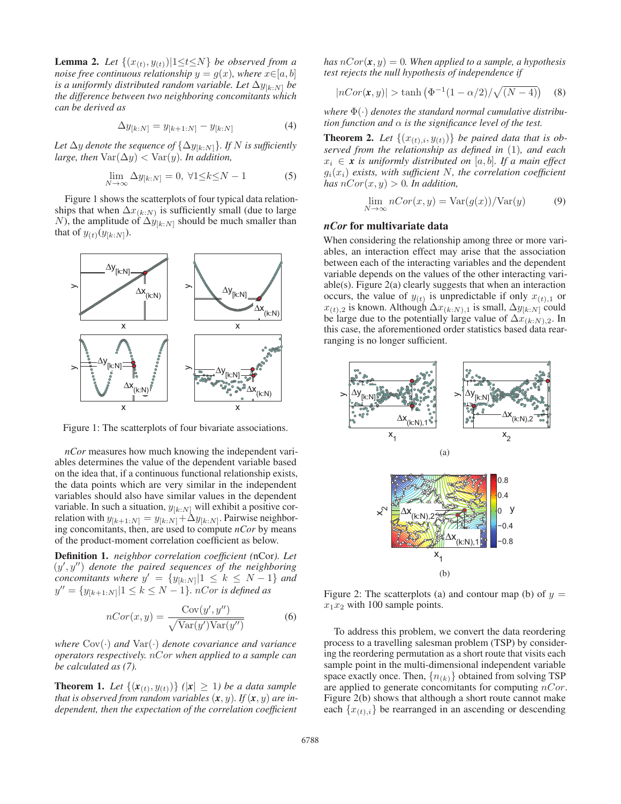**Lemma 2.** *Let*  $\{(x_{(t)}, y_{(t)}) | 1 \le t \le N\}$  *be observed from a noise free continuous relationship*  $y = g(x)$ *, where*  $x \in [a, b]$ *is a uniformly distributed random variable. Let*  $\Delta y_{[k\cdot N]}$  *be the difference between two neighboring concomitants which can be derived as*

$$
\Delta y_{[k:N]} = y_{[k+1:N]} - y_{[k:N]}
$$
 (4)

Let  $\Delta y$  *denote the sequence of*  $\{\Delta y_{[k:N]}\}$ *. If* N *is sufficiently large, then*  $\text{Var}(\Delta y) < \text{Var}(y)$ *. In addition,* 

$$
\lim_{N \to \infty} \Delta y_{[k:N]} = 0, \ \forall 1 \le k \le N - 1 \tag{5}
$$

Figure 1 shows the scatterplots of four typical data relationships that when  $\Delta x_{(k:N)}$  is sufficiently small (due to large N), the amplitude of  $\Delta y_{[k:N]}$  should be much smaller than that of  $y_{(t)}(y_{[k:N]})$ .



Figure 1: The scatterplots of four bivariate associations.

*nCor* measures how much knowing the independent variables determines the value of the dependent variable based on the idea that, if a continuous functional relationship exists, the data points which are very similar in the independent variables should also have similar values in the dependent variable. In such a situation,  $y_{[k:N]}$  will exhibit a positive correlation with  $y_{[k+1:N]} = y_{[k:N]} + \Delta y_{[k:N]}$ . Pairwise neighbor-<br>ing concomitants then are used to compute *nCor* by means ing concomitants, then, are used to compute *nCor* by means of the product-moment correlation coefficient as below.

Definition 1. *neighbor correlation coefficient (*nCor*). Let*  $(y', y'')$  denote the paired sequences of the neighboring<br>concomitants where  $y' = \{y_{1}, y_{2}\}$   $1 \leq k \leq N-1$  and *concomitants where*  $y' = \{y_{[k:N]} | 1 \le k \le N-1 \}$  *and*  $y'' = \{y_{[k+1:N]} | 1 \le k \le N-1\}$ *. nCor is defined as* 

$$
nCor(x, y) = \frac{Cov(y', y'')}{\sqrt{Var(y')Var(y'')}}
$$
 (6)

*where* Cov(·) *and* Var(·) *denote covariance and variance operators respectively.* nCor *when applied to a sample can be calculated as (7).*

**Theorem 1.** Let  $\{(x_{(t)}, y_{(t)})\}$   $(|x| \ge 1)$  be a data sample *that is observed from random variables*  $(x, y)$ *. If*  $(x, y)$  *are independent, then the expectation of the correlation coefficient*

*has*  $nCor(\mathbf{x}, y) = 0$ *. When applied to a sample, a hypothesis test rejects the null hypothesis of independence if*

$$
|nCor(\mathbf{x}, y)| > \tanh (\Phi^{-1}(1 - \alpha/2) / \sqrt{(N - 4)})
$$
 (8)

*where* Φ(·) *denotes the standard normal cumulative distribution function and*  $\alpha$  *is the significance level of the test.* 

**Theorem 2.** Let  $\{(x_{(t),i}, y_{(t)})\}$  be paired data that is ob*served from the relationship as defined in* (1)*, and each*  $x_i \in \mathbf{x}$  *is uniformly distributed on* [a, b]. If a main effect  $g_i(x_i)$  exists, with sufficient N, the correlation coefficient *has*  $nCor(x, y) > 0$ *. In addition,* 

$$
\lim_{N \to \infty} nCor(x, y) = \text{Var}(g(x)) / \text{Var}(y) \tag{9}
$$

# *nCor* for multivariate data

When considering the relationship among three or more variables, an interaction effect may arise that the association between each of the interacting variables and the dependent variable depends on the values of the other interacting variable(s). Figure 2(a) clearly suggests that when an interaction occurs, the value of  $y(t)$  is unpredictable if only  $x(t)$ , or  $x_{(t),2}$  is known. Although  $\Delta x_{(k:N),1}$  is small,  $\Delta y_{[k:N]}$  could be large due to the potentially large value of  $\Delta x_{(k:N),2}$ . In this case, the aforementioned order statistics based data rearranging is no longer sufficient.



Figure 2: The scatterplots (a) and contour map (b) of  $y =$  $x_1x_2$  with 100 sample points.

To address this problem, we convert the data reordering process to a travelling salesman problem (TSP) by considering the reordering permutation as a short route that visits each sample point in the multi-dimensional independent variable space exactly once. Then,  $\{n_{(k)}\}$  obtained from solving TSP are applied to generate concomitants for computing  $nCor$ . Figure 2(b) shows that although a short route cannot make each  $\{x_{(t),i}\}\$ be rearranged in an ascending or descending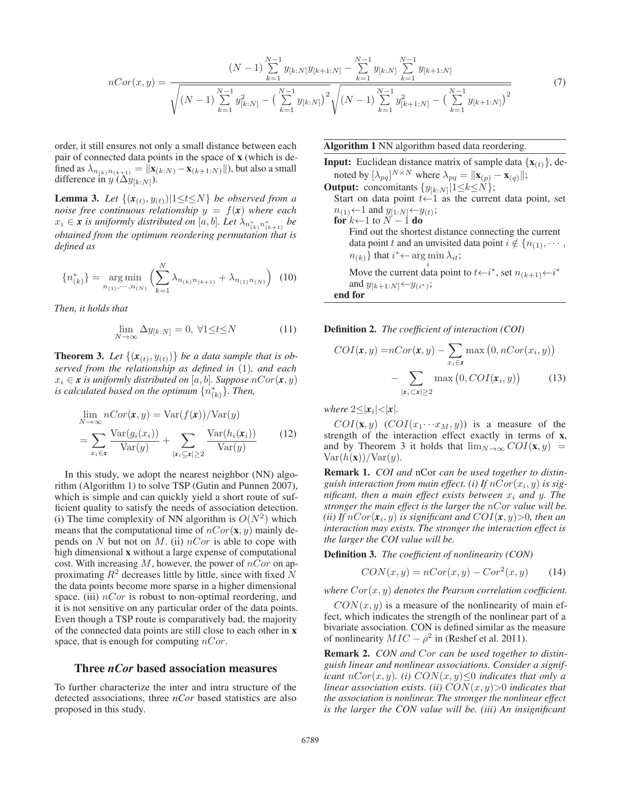$$
nCor(x,y) = \frac{(N-1)\sum_{k=1}^{N-1} y_{[k:N]} y_{[k+1:N]} - \sum_{k=1}^{N-1} y_{[k:N]} \sum_{k=1}^{N-1} y_{[k+1:N]}}{\sqrt{(N-1)\sum_{k=1}^{N-1} y_{[k:N]}^2 - (\sum_{k=1}^{N-1} y_{[k:N]})^2} \sqrt{(N-1)\sum_{k=1}^{N-1} y_{[k+1:N]}^2 - (\sum_{k=1}^{N-1} y_{[k+1:N]})^2}}
$$
(7)

order, it still ensures not only a small distance between each pair of connected data points in the space of x (which is defined as  $\lambda_{n_{(k)}n_{(k+1)}} = ||\mathbf{x}_{(k:N)} - \mathbf{x}_{(k+1:N)}||$ , but also a small difference in  $y(\Delta y_{[k:N]})$ .

**Lemma 3.** Let  $\{(\mathbf{x}_{(t)}, y_{(t)}) | 1 \le t \le N\}$  *be observed from a noise free continuous relationship*  $y = f(x)$  *where each*  $x_i \in \mathbf{x}$  *is uniformly distributed on* [a, b]. Let  $\lambda_{n_{(k)}^*, n_{(k+1)}^*}$  be<br>obtained from the optimum mondaring pormutation that is *obtained from the optimum reordering permutation that is defined as*

$$
\{n_{(k)}^*\} = \underset{n_{(1)},\cdots,n_{(N)}}{\text{arg min}} \left( \sum_{k=1}^N \lambda_{n_{(k)}n_{(k+1)}} + \lambda_{n_{(1)}n_{(N)}} \right) \tag{10}
$$

*Then, it holds that*

$$
\lim_{N \to \infty} \Delta y_{[k:N]} = 0, \ \forall 1 \le t \le N \tag{11}
$$

**Theorem 3.** Let  $\{(\mathbf{x}_{(t)}, y_{(t)})\}$  be a data sample that is ob*served from the relationship as defined in* (1)*, and each*  $x_i \in \mathbf{x}$  *is uniformly distributed on* [a, b]. Suppose  $nCor(\mathbf{x}, y)$ is calculated based on the optimum  $\{n_{(k)}^*\}$ . Then,

$$
\lim_{N \to \infty} nCor(\mathbf{x}, y) = \text{Var}(f(\mathbf{x}))/\text{Var}(y)
$$
\n
$$
= \sum_{x_i \in \mathbf{x}} \frac{\text{Var}(g_i(x_i))}{\text{Var}(y)} + \sum_{|\mathbf{x}_i \subseteq \mathbf{x}| \ge 2} \frac{\text{Var}(h_i(\mathbf{x}_i))}{\text{Var}(y)} \tag{12}
$$

In this study, we adopt the nearest neighbor (NN) algorithm (Algorithm 1) to solve TSP (Gutin and Punnen 2007), which is simple and can quickly yield a short route of sufficient quality to satisfy the needs of association detection. (i) The time complexity of NN algorithm is  $O(N^2)$  which means that the computational time of  $nCor(\mathbf{x}, y)$  mainly depends on N but not on M. (ii)  $nCor$  is able to cope with high dimensional x without a large expense of computational cost. With increasing  $M$ , however, the power of  $nCor$  on approximating  $R^2$  decreases little by little, since with fixed  $\overline{N}$ the data points become more sparse in a higher dimensional space. (iii)  $nCor$  is robust to non-optimal reordering, and it is not sensitive on any particular order of the data points. Even though a TSP route is comparatively bad, the majority of the connected data points are still close to each other in x space, that is enough for computing  $nCor$ .

## Three *nCor* based association measures

To further characterize the inter and intra structure of the detected associations, three *nCor* based statistics are also proposed in this study.

### Algorithm 1 NN algorithm based data reordering.

**Input:** Euclidean distance matrix of sample data  $\{x_{(t)}\}$ , denoted by  $[\lambda_{pq}]^{N \times N}$  where  $\lambda_{pq} = ||\mathbf{x}_{(p)} - \mathbf{x}_{(q)}||;$ <br>where  $\lambda_{pq} = ||\mathbf{x}_{(p)} - \mathbf{x}_{(q)}||;$ **Output:** concomitants  $\{y_{[k:N]}|1 \le k \le N\};$ Start on data point  $t \leftarrow 1$  as the current data point, set  $n_{(1)} \leftarrow 1$  and  $y_{[1:N]} \leftarrow y_{(t)};$ <br>for  $k \leftarrow 1$  to  $N - 1$  do **for**  $k \leftarrow 1$  to  $N - 1$  **do**<br>Find out the shorte Find out the shortest distance connecting the current data point t and an unvisited data point  $i \notin \{n_{(1)}, \cdots,$  $n_{(k)}$ } that  $i^* \leftarrow \argmin_i \lambda_{it}$ ; Move the current data point to  $t \leftarrow i^*$ , set  $n_{(k+1)} \leftarrow i^*$ and  $y_{[k+1:N]}\mathord{\leftarrow} y_{(i^*)};$ end for

Definition 2. *The coefficient of interaction (COI)*

$$
COI(\mathbf{x}, y) = nCor(\mathbf{x}, y) - \sum_{x_i \in \mathbf{x}} \max(0, nCor(x_i, y)) - \sum_{|\mathbf{x}_i \subset \mathbf{x}| \ge 2} \max(0, COI(\mathbf{x}_i, y)) \tag{13}
$$

*where*  $2 \leq |x_i| < |x|$ *.* 

 $COI(\mathbf{x}, y)$   $(COI(x_1 \cdots x_M, y))$  is a measure of the strength of the interaction effect exactly in terms of x, and by Theorem 3 it holds that  $\lim_{N\to\infty} COI(\mathbf{x}, y)$  =  $Var(h(\mathbf{x}))/Var(y)$ .

Remark 1. *COI and* nCor *can be used together to distin*guish interaction from main effect. (i) If  $nCor(x_i, y)$  is sig*nificant, then a main effect exists between*  $x_i$  *and*  $y$ *. The stronger the main effect is the larger the* nCor *value will be. (ii)* If  $nCor(x_i, y)$  *is significant and*  $COI(x, y) > 0$ *, then an interaction may exists. The stronger the interaction effect is the larger the COI value will be.*

Definition 3. *The coefficient of nonlinearity (CON)*

$$
CON(x, y) = nCor(x, y) - Cor2(x, y)
$$
 (14)

*where* Cor(x, y) *denotes the Pearson correlation coefficient.*

 $CON(x, y)$  is a measure of the nonlinearity of main effect, which indicates the strength of the nonlinear part of a bivariate association. CON is defined similar as the measure of nonlinearity  $MIC - \rho^2$  in (Reshef et al. 2011).

Remark 2. *CON and* Cor *can be used together to distinguish linear and nonlinear associations. Consider a significant*  $nCor(x, y)$ *. (i)*  $CON(x, y) \leq 0$  *indicates that only a linear association exists. (ii)*  $CON(x, y) > 0$  *indicates that the association is nonlinear. The stronger the nonlinear effect is the larger the CON value will be. (iii) An insignificant*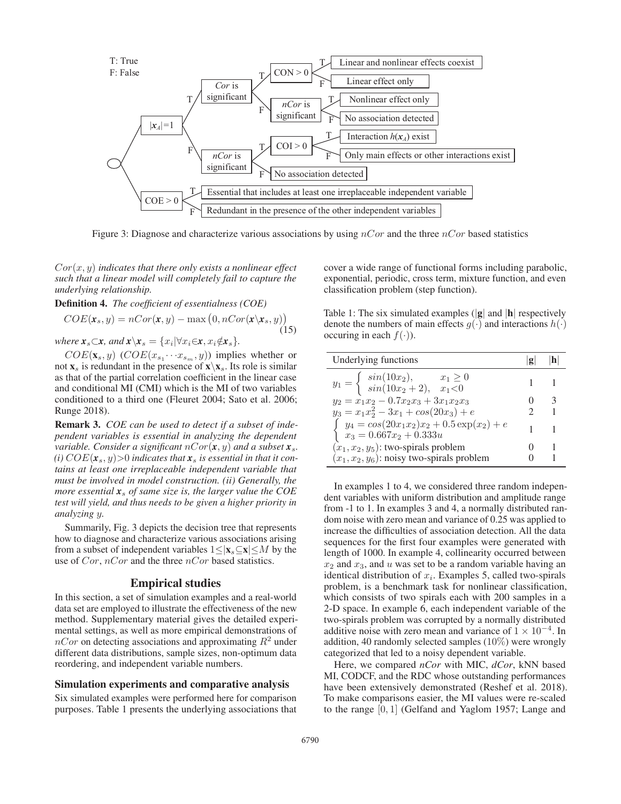

Figure 3: Diagnose and characterize various associations by using  $nCor$  and the three  $nCor$  based statistics

Cor(x, y) *indicates that there only exists a nonlinear effect such that a linear model will completely fail to capture the underlying relationship.*

Definition 4. *The coefficient of essentialness (COE)*

$$
COE(\mathbf{x}_s, y) = nCor(\mathbf{x}, y) - \max(0, nCor(\mathbf{x} \setminus \mathbf{x}_s, y))
$$
\n(15)

*where*  $\mathbf{x}_s \subset \mathbf{x}$ *, and*  $\mathbf{x} \setminus \mathbf{x}_s = \{x_i | \forall x_i \in \mathbf{x}, x_i \notin \mathbf{x}_s\}.$ 

 $COE(\mathbf{x}_s, y)$  ( $COE(x_{s_1} \cdots x_{s_m}, y)$ ) implies whether or not  $\mathbf{x}_s$  is redundant in the presence of  $\mathbf{x}\backslash \mathbf{x}_s$ . Its role is similar as that of the partial correlation coefficient in the linear case and conditional MI (CMI) which is the MI of two variables conditioned to a third one (Fleuret 2004; Sato et al. 2006; Runge 2018).

Remark 3. *COE can be used to detect if a subset of independent variables is essential in analyzing the dependent variable. Consider a significant*  $nCor(\mathbf{x}, y)$  *and a subset*  $\mathbf{x}_s$ *.*  $(i) COE(x_s, y) > 0$  *indicates that*  $x_s$  *is essential in that it contains at least one irreplaceable independent variable that must be involved in model construction. (ii) Generally, the more essential x*<sup>s</sup> *of same size is, the larger value the COE test will yield, and thus needs to be given a higher priority in analyzing* y*.*

Summarily, Fig. 3 depicts the decision tree that represents how to diagnose and characterize various associations arising from a subset of independent variables  $1 \le |x_s| \le M$  by the use of  $Cor$ ,  $nCor$  and the three  $nCor$  based statistics.

### Empirical studies

In this section, a set of simulation examples and a real-world data set are employed to illustrate the effectiveness of the new method. Supplementary material gives the detailed experimental settings, as well as more empirical demonstrations of  $nCor$  on detecting associations and approximating  $R^2$  under different data distributions, sample sizes, non-optimum data reordering, and independent variable numbers.

## Simulation experiments and comparative analysis

Six simulated examples were performed here for comparison purposes. Table 1 presents the underlying associations that cover a wide range of functional forms including parabolic, exponential, periodic, cross term, mixture function, and even classification problem (step function).

Table 1: The six simulated examples  $(|g|$  and  $|h|$  respectively denote the numbers of main effects  $g(\cdot)$  and interactions  $h(\cdot)$ occuring in each  $f(\cdot)$ ).

| $y_1 = \begin{cases} \sin(10x_2), & x_1 \ge 0 \\ \sin(10x_2 + 2), & x_1 < 0 \end{cases}$<br>$y_2 = x_1x_2 - 0.7x_2x_3 + 3x_1x_2x_3$<br>$y_3 = x_1x_2^2 - 3x_1 + cos(20x_3) + e$<br>$\int y_4 = \cos(20x_1x_2)x_2 + 0.5 \exp(x_2) + e$ |  |
|---------------------------------------------------------------------------------------------------------------------------------------------------------------------------------------------------------------------------------------|--|
|                                                                                                                                                                                                                                       |  |
|                                                                                                                                                                                                                                       |  |
|                                                                                                                                                                                                                                       |  |
| $x_3 = 0.667x_2 + 0.333u$                                                                                                                                                                                                             |  |
| $(x_1, x_2, y_5)$ : two-spirals problem                                                                                                                                                                                               |  |
| $(x_1, x_2, y_6)$ : noisy two-spirals problem                                                                                                                                                                                         |  |

In examples 1 to 4, we considered three random independent variables with uniform distribution and amplitude range from -1 to 1. In examples 3 and 4, a normally distributed random noise with zero mean and variance of 0.25 was applied to increase the difficulties of association detection. All the data sequences for the first four examples were generated with length of 1000. In example 4, collinearity occurred between  $x_2$  and  $x_3$ , and u was set to be a random variable having an identical distribution of  $x_i$ . Examples 5, called two-spirals problem, is a benchmark task for nonlinear classification, which consists of two spirals each with 200 samples in a 2-D space. In example 6, each independent variable of the two-spirals problem was corrupted by a normally distributed additive noise with zero mean and variance of  $1 \times 10^{-4}$ . In addition, 40 randomly selected samples (10%) were wrongly categorized that led to a noisy dependent variable.

Here, we compared *nCor* with MIC, *dCor*, kNN based MI, CODCF, and the RDC whose outstanding performances have been extensively demonstrated (Reshef et al. 2018). To make comparisons easier, the MI values were re-scaled to the range [0, 1] (Gelfand and Yaglom 1957; Lange and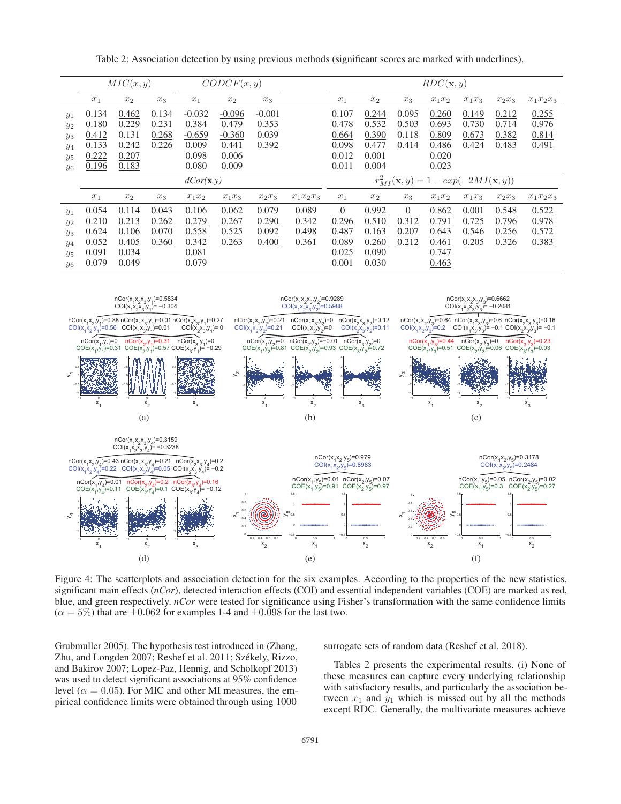Table 2: Association detection by using previous methods (significant scores are marked with underlines).

|       | MIC(x, y)             |       |       | CODE(x, y) |          |          |             | $RDC(\mathbf{x}, y)$                                     |       |          |          |          |          |             |
|-------|-----------------------|-------|-------|------------|----------|----------|-------------|----------------------------------------------------------|-------|----------|----------|----------|----------|-------------|
|       | $x_1$                 | $x_2$ | $x_3$ | $x_1$      | $x_2$    | $x_3$    |             | $x_1$                                                    | $x_2$ | $x_3$    | $x_1x_2$ | $x_1x_3$ | $x_2x_3$ | $x_1x_2x_3$ |
| $y_1$ | 0.134                 | 0.462 | 0.134 | $-0.032$   | $-0.096$ | $-0.001$ |             | 0.107                                                    | 0.244 | 0.095    | 0.260    | 0.149    | 0.212    | 0.255       |
| $y_2$ | 0.180                 | 0.229 | 0.231 | 0.384      | 0.479    | 0.353    |             | 0.478                                                    | 0.532 | 0.503    | 0.693    | 0.730    | 0.714    | 0.976       |
| $y_3$ | 0.412                 | 0.131 | 0.268 | $-0.659$   | $-0.360$ | 0.039    |             | 0.664                                                    | 0.390 | 0.118    | 0.809    | 0.673    | 0.382    | 0.814       |
| $y_4$ | 0.133                 | 0.242 | 0.226 | 0.009      | 0.441    | 0.392    |             | 0.098                                                    | 0.477 | 0.414    | 0.486    | 0.424    | 0.483    | 0.491       |
| $y_5$ | 0.222                 | 0.207 |       | 0.098      | 0.006    |          |             | 0.012                                                    | 0.001 |          | 0.020    |          |          |             |
| $y_6$ | 0.196                 | 0.183 |       | 0.080      | 0.009    |          |             | 0.011                                                    | 0.004 |          | 0.023    |          |          |             |
|       | $dCor(\mathbf{x}, y)$ |       |       |            |          |          |             | $r_{MI}^2(\mathbf{x}, y) = 1 - exp(-2MI(\mathbf{x}, y))$ |       |          |          |          |          |             |
|       | $x_1$                 | $x_2$ | $x_3$ | $x_1x_2$   | $x_1x_3$ | $x_2x_3$ | $x_1x_2x_3$ | $x_1$                                                    | $x_2$ | $x_3$    | $x_1x_2$ | $x_1x_3$ | $x_2x_3$ | $x_1x_2x_3$ |
| $y_1$ | 0.054                 | 0.114 | 0.043 | 0.106      | 0.062    | 0.079    | 0.089       | $\Omega$                                                 | 0.992 | $\Omega$ | 0.862    | 0.001    | 0.548    | 0.522       |
| $y_2$ | 0.210                 | 0.213 | 0.262 | 0.279      | 0.267    | 0.290    | 0.342       | 0.296                                                    | 0.510 | 0.312    | 0.791    | 0.725    | 0.796    | 0.978       |
| $y_3$ | 0.624                 | 0.106 | 0.070 | 0.558      | 0.525    | 0.092    | 0.498       | 0.487                                                    | 0.163 | 0.207    | 0.643    | 0.546    | 0.256    | 0.572       |
| $y_4$ | 0.052                 | 0.405 | 0.360 | 0.342      | 0.263    | 0.400    | 0.361       | 0.089                                                    | 0.260 | 0.212    | 0.461    | 0.205    | 0.326    | 0.383       |
| $y_5$ | 0.091                 | 0.034 |       | 0.081      |          |          |             | 0.025                                                    | 0.090 |          | 0.747    |          |          |             |
| $y_6$ | 0.079                 | 0.049 |       | 0.079      |          |          |             | 0.001                                                    | 0.030 |          | 0.463    |          |          |             |



Figure 4: The scatterplots and association detection for the six examples. According to the properties of the new statistics, significant main effects (*nCor*), detected interaction effects (COI) and essential independent variables (COE) are marked as red, blue, and green respectively. *nCor* were tested for significance using Fisher's transformation with the same confidence limits  $(\alpha = 5\%)$  that are  $\pm 0.062$  for examples 1-4 and  $\pm 0.098$  for the last two.

Grubmuller 2005). The hypothesis test introduced in (Zhang, Zhu, and Longden 2007; Reshef et al. 2011; Székely, Rizzo, and Bakirov 2007; Lopez-Paz, Hennig, and Scholkopf 2013) was used to detect significant associations at 95% confidence level ( $\alpha = 0.05$ ). For MIC and other MI measures, the empirical confidence limits were obtained through using 1000

surrogate sets of random data (Reshef et al. 2018).

Tables 2 presents the experimental results. (i) None of these measures can capture every underlying relationship with satisfactory results, and particularly the association between  $x_1$  and  $y_1$  which is missed out by all the methods except RDC. Generally, the multivariate measures achieve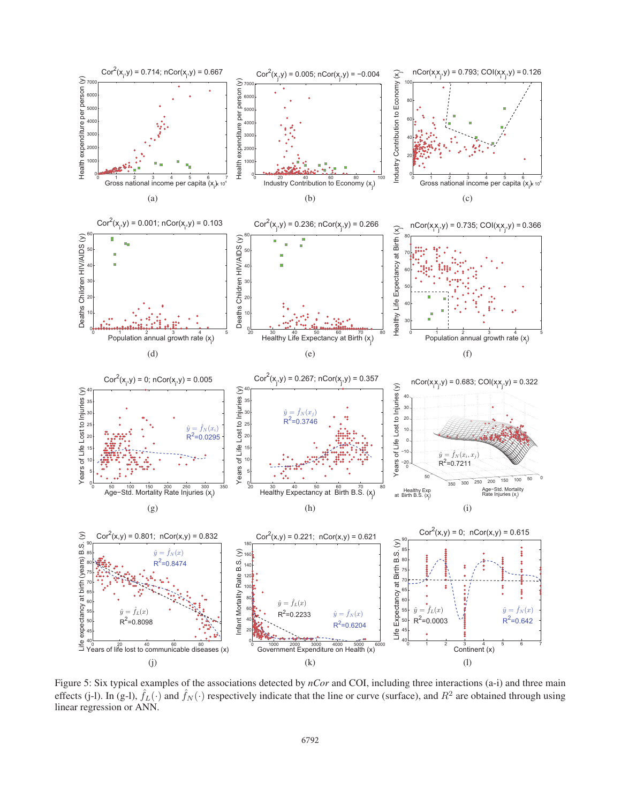

Figure 5: Six typical examples of the associations detected by *nCor* and COI, including three interactions (a-i) and three main effects (j-l). In (g-l),  $\hat{f}_L(\cdot)$  and  $\hat{f}_N(\cdot)$  respectively indicate that the line or curve (surface), and  $R^2$  are obtained through using linear regression or ANN.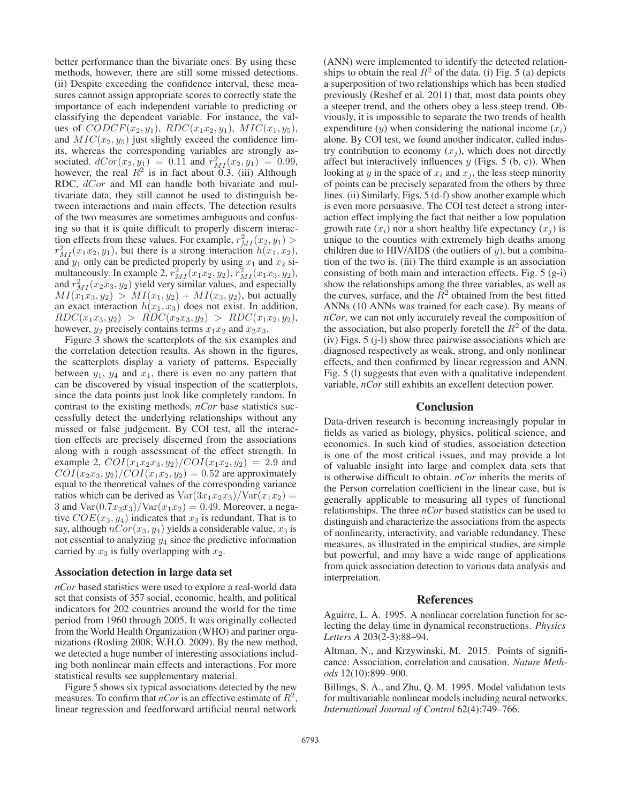better performance than the bivariate ones. By using these methods, however, there are still some missed detections. (ii) Despite exceeding the confidence interval, these measures cannot assign appropriate scores to correctly state the importance of each independent variable to predicting or classifying the dependent variable. For instance, the values of  $CODE(x_2, y_1)$ ,  $RDC(x_1x_2, y_1)$ ,  $MIC(x_1, y_5)$ , and  $MIC(x_2, y_5)$  just slightly exceed the confidence limits, whereas the corresponding variables are strongly associated.  $dCor(x_2, y_1) = 0.11$  and  $r_{MI}^2(x_2, y_1) = 0.99$ ,<br>however the real  $R^2$  is in fact about 0.3 (iii) Although however, the real  $R^2$  is in fact about 0.3. (iii) Although RDC,  $dCor$  and MI can handle both bivariate and multivariate data, they still cannot be used to distinguish between interactions and main effects. The detection results of the two measures are sometimes ambiguous and confusing so that it is quite difficult to properly discern interaction effects from these values. For example,  $r_{MI}^2(x_2, y_1) > r_{II}^2(x_1, x_2, y_1)$  but there is a strong interaction  $h(x_1, x_2)$  $r_{M I}^2(x_1x_2, y_1)$ , but there is a strong interaction  $h(x_1, x_2)$ ,<br>and  $y_1$  only can be predicted properly by using  $x_1$  and  $x_2$  siand  $y_1$  only can be predicted properly by using  $x_1$  and  $x_2$  simultaneously. In example 2,  $r_{M I}^2(x_1x_2, y_2)$ ,  $r_{M I}^2(x_1x_3, y_2)$ ,<br>and  $r_{3 \times I}^2(x_2x_2, y_2)$  yield very similar values, and especially and  $r_{MI}^2(x_2x_3, y_2)$  yield very similar values, and especially  $MI(x_1, y_2) > MI(x_1, y_2) + MI(x_2, y_2)$  but actually  $MI(x_1x_3, y_2) > MI(x_1, y_2) + MI(x_3, y_2)$ , but actually an exact interaction  $h(x_1, x_3)$  does not exist. In addition,  $RDC(x_1x_3, y_2) > RDC(x_2x_3, y_2) > RDC(x_1x_2, y_2),$ however,  $y_2$  precisely contains terms  $x_1x_2$  and  $x_2x_3$ .

Figure 3 shows the scatterplots of the six examples and the correlation detection results. As shown in the figures, the scatterplots display a variety of patterns. Especially between  $y_1$ ,  $y_4$  and  $x_1$ , there is even no any pattern that can be discovered by visual inspection of the scatterplots, since the data points just look like completely random. In contrast to the existing methods, *nCor* base statistics successfully detect the underlying relationships without any missed or false judgement. By COI test, all the interaction effects are precisely discerned from the associations along with a rough assessment of the effect strength. In example 2,  $COI(x_1x_2x_3, y_2)/COI(x_1x_2, y_2)=2.9$  and  $COI(x_2x_3, y_2)/COI(x_1x_2, y_2)=0.52$  are approximately equal to the theoretical values of the corresponding variance ratios which can be derived as  $Var(3x_1x_2x_3)/Var(x_1x_2) =$ 3 and  $Var(0.7x_2x_3)/Var(x_1x_2)=0.49$ . Moreover, a negative  $COE(x_3, y_4)$  indicates that  $x_3$  is redundant. That is to say, although  $nCor(x_3, y_4)$  yields a considerable value,  $x_3$  is not essential to analyzing  $y_4$  since the predictive information carried by  $x_3$  is fully overlapping with  $x_2$ .

#### Association detection in large data set

*nCor* based statistics were used to explore a real-world data set that consists of 357 social, economic, health, and political indicators for 202 countries around the world for the time period from 1960 through 2005. It was originally collected from the World Health Organization (WHO) and partner organizations (Rosling 2008; W.H.O. 2009). By the new method, we detected a huge number of interesting associations including both nonlinear main effects and interactions. For more statistical results see supplementary material.

Figure 5 shows six typical associations detected by the new measures. To confirm that *nCor* is an effective estimate of  $R^2$ , linear regression and feedforward artificial neural network (ANN) were implemented to identify the detected relationships to obtain the real  $R^2$  of the data. (i) Fig. 5 (a) depicts a superposition of two relationships which has been studied previously (Reshef et al. 2011) that, most data points obey a steeper trend, and the others obey a less steep trend. Obviously, it is impossible to separate the two trends of health expenditure  $(y)$  when considering the national income  $(x_i)$ alone. By COI test, we found another indicator, called industry contribution to economy  $(x_j)$ , which does not directly affect but interactively influences  $y$  (Figs. 5 (b, c)). When looking at y in the space of  $x_i$  and  $x_j$ , the less steep minority of points can be precisely separated from the others by three lines. (ii) Similarly, Figs. 5 (d-f) show another example which is even more persuasive. The COI test detect a strong interaction effect implying the fact that neither a low population growth rate  $(x_i)$  nor a short healthy life expectancy  $(x_i)$  is unique to the counties with extremely high deaths among children due to HIV/AIDS (the outliers of  $y$ ), but a combination of the two is. (iii) The third example is an association consisting of both main and interaction effects. Fig. 5 (g-i) show the relationships among the three variables, as well as the curves, surface, and the  $\overline{R}^2$  obtained from the best fitted ANNs (10 ANNs was trained for each case). By means of *nCor*, we can not only accurately reveal the composition of the association, but also properly foretell the  $R^2$  of the data. (iv) Figs. 5 (j-l) show three pairwise associations which are diagnosed respectively as weak, strong, and only nonlinear effects, and then confirmed by linear regression and ANN. Fig. 5 (l) suggests that even with a qualitative independent variable, *nCor* still exhibits an excellent detection power.

## Conclusion

Data-driven research is becoming increasingly popular in fields as varied as biology, physics, political science, and economics. In such kind of studies, association detection is one of the most critical issues, and may provide a lot of valuable insight into large and complex data sets that is otherwise difficult to obtain. *nCor* inherits the merits of the Person correlation coefficient in the linear case, but is generally applicable to measuring all types of functional relationships. The three *nCor* based statistics can be used to distinguish and characterize the associations from the aspects of nonlinearity, interactivity, and variable redundancy. These measures, as illustrated in the empirical studies, are simple but powerful, and may have a wide range of applications from quick association detection to various data analysis and interpretation.

#### References

Aguirre, L. A. 1995. A nonlinear correlation function for selecting the delay time in dynamical reconstructions. *Physics Letters A* 203(2-3):88–94.

Altman, N., and Krzywinski, M. 2015. Points of significance: Association, correlation and causation. *Nature Methods* 12(10):899–900.

Billings, S. A., and Zhu, Q. M. 1995. Model validation tests for multivariable nonlinear models including neural networks. *International Journal of Control* 62(4):749–766.